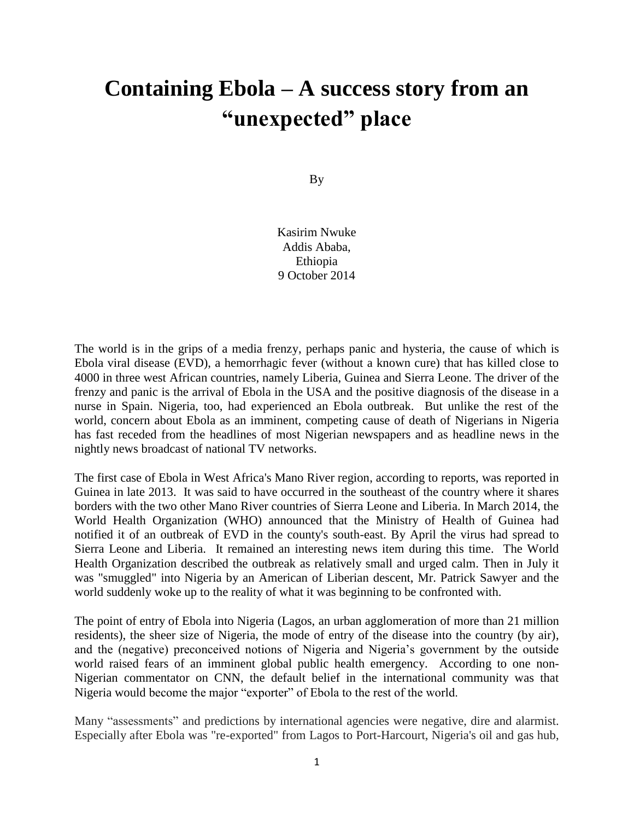## **Containing Ebola – A success story from an "unexpected" place**

By

Kasirim Nwuke Addis Ababa, Ethiopia 9 October 2014

The world is in the grips of a media frenzy, perhaps panic and hysteria, the cause of which is Ebola viral disease (EVD), a hemorrhagic fever (without a known cure) that has killed close to 4000 in three west African countries, namely Liberia, Guinea and Sierra Leone. The driver of the frenzy and panic is the arrival of Ebola in the USA and the positive diagnosis of the disease in a nurse in Spain. Nigeria, too, had experienced an Ebola outbreak. But unlike the rest of the world, concern about Ebola as an imminent, competing cause of death of Nigerians in Nigeria has fast receded from the headlines of most Nigerian newspapers and as headline news in the nightly news broadcast of national TV networks.

The first case of Ebola in West Africa's Mano River region, according to reports, was reported in Guinea in late 2013. It was said to have occurred in the southeast of the country where it shares borders with the two other Mano River countries of Sierra Leone and Liberia. In March 2014, the World Health Organization (WHO) announced that the Ministry of Health of Guinea had notified it of an outbreak of EVD in the county's south-east. By April the virus had spread to Sierra Leone and Liberia. It remained an interesting news item during this time. The World Health Organization described the outbreak as relatively small and urged calm. Then in July it was "smuggled" into Nigeria by an American of Liberian descent, Mr. Patrick Sawyer and the world suddenly woke up to the reality of what it was beginning to be confronted with.

The point of entry of Ebola into Nigeria (Lagos, an urban agglomeration of more than 21 million residents), the sheer size of Nigeria, the mode of entry of the disease into the country (by air), and the (negative) preconceived notions of Nigeria and Nigeria's government by the outside world raised fears of an imminent global public health emergency. According to one non-Nigerian commentator on CNN, the default belief in the international community was that Nigeria would become the major "exporter" of Ebola to the rest of the world.

Many "assessments" and predictions by international agencies were negative, dire and alarmist. Especially after Ebola was "re-exported" from Lagos to Port-Harcourt, Nigeria's oil and gas hub,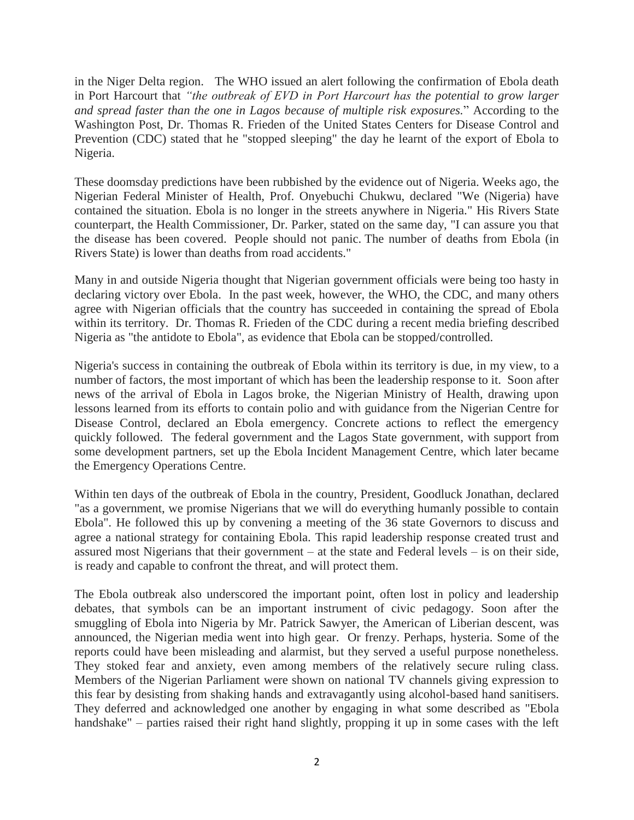in the Niger Delta region. The WHO issued an alert following the confirmation of Ebola death in Port Harcourt that *"the outbreak of EVD in Port Harcourt has the potential to grow larger and spread faster than the one in Lagos because of multiple risk exposures.*" According to the Washington Post, Dr. Thomas R. Frieden of the United States Centers for Disease Control and Prevention (CDC) stated that he "stopped sleeping" the day he learnt of the export of Ebola to Nigeria.

These doomsday predictions have been rubbished by the evidence out of Nigeria. Weeks ago, the Nigerian Federal Minister of Health, Prof. Onyebuchi Chukwu, declared "We (Nigeria) have contained the situation. Ebola is no longer in the streets anywhere in Nigeria." His Rivers State counterpart, the Health Commissioner, Dr. Parker, stated on the same day, "I can assure you that the disease has been covered. People should not panic. The number of deaths from Ebola (in Rivers State) is lower than deaths from road accidents."

Many in and outside Nigeria thought that Nigerian government officials were being too hasty in declaring victory over Ebola. In the past week, however, the WHO, the CDC, and many others agree with Nigerian officials that the country has succeeded in containing the spread of Ebola within its territory. Dr. Thomas R. Frieden of the CDC during a recent media briefing described Nigeria as "the antidote to Ebola", as evidence that Ebola can be stopped/controlled.

Nigeria's success in containing the outbreak of Ebola within its territory is due, in my view, to a number of factors, the most important of which has been the leadership response to it. Soon after news of the arrival of Ebola in Lagos broke, the Nigerian Ministry of Health, drawing upon lessons learned from its efforts to contain polio and with guidance from the Nigerian Centre for Disease Control, declared an Ebola emergency. Concrete actions to reflect the emergency quickly followed. The federal government and the Lagos State government, with support from some development partners, set up the Ebola Incident Management Centre, which later became the Emergency Operations Centre.

Within ten days of the outbreak of Ebola in the country, President, Goodluck Jonathan, declared "as a government, we promise Nigerians that we will do everything humanly possible to contain Ebola". He followed this up by convening a meeting of the 36 state Governors to discuss and agree a national strategy for containing Ebola. This rapid leadership response created trust and assured most Nigerians that their government – at the state and Federal levels – is on their side, is ready and capable to confront the threat, and will protect them.

The Ebola outbreak also underscored the important point, often lost in policy and leadership debates, that symbols can be an important instrument of civic pedagogy. Soon after the smuggling of Ebola into Nigeria by Mr. Patrick Sawyer, the American of Liberian descent, was announced, the Nigerian media went into high gear. Or frenzy. Perhaps, hysteria. Some of the reports could have been misleading and alarmist, but they served a useful purpose nonetheless. They stoked fear and anxiety, even among members of the relatively secure ruling class. Members of the Nigerian Parliament were shown on national TV channels giving expression to this fear by desisting from shaking hands and extravagantly using alcohol-based hand sanitisers. They deferred and acknowledged one another by engaging in what some described as "Ebola handshake" – parties raised their right hand slightly, propping it up in some cases with the left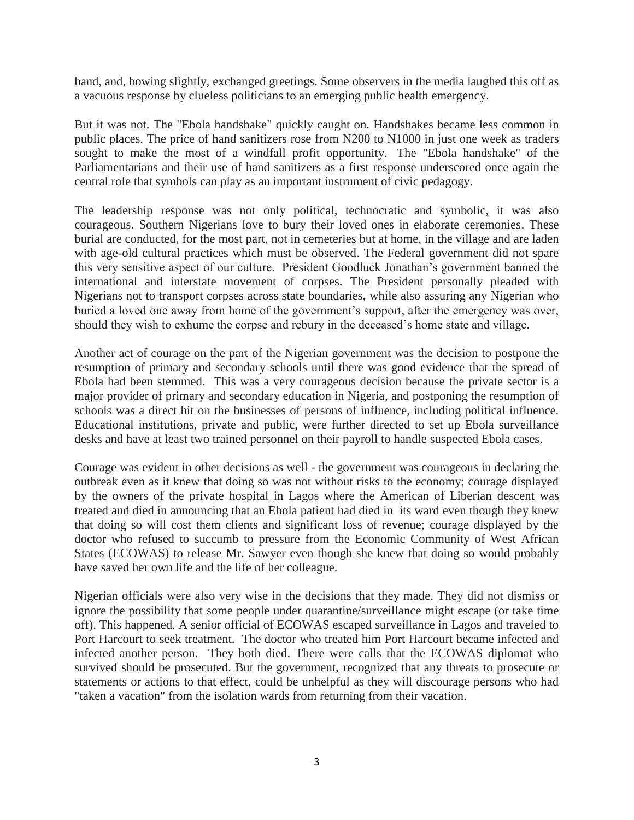hand, and, bowing slightly, exchanged greetings. Some observers in the media laughed this off as a vacuous response by clueless politicians to an emerging public health emergency.

But it was not. The "Ebola handshake" quickly caught on. Handshakes became less common in public places. The price of hand sanitizers rose from N200 to N1000 in just one week as traders sought to make the most of a windfall profit opportunity. The "Ebola handshake" of the Parliamentarians and their use of hand sanitizers as a first response underscored once again the central role that symbols can play as an important instrument of civic pedagogy.

The leadership response was not only political, technocratic and symbolic, it was also courageous. Southern Nigerians love to bury their loved ones in elaborate ceremonies. These burial are conducted, for the most part, not in cemeteries but at home, in the village and are laden with age-old cultural practices which must be observed. The Federal government did not spare this very sensitive aspect of our culture. President Goodluck Jonathan's government banned the international and interstate movement of corpses. The President personally pleaded with Nigerians not to transport corpses across state boundaries, while also assuring any Nigerian who buried a loved one away from home of the government's support, after the emergency was over, should they wish to exhume the corpse and rebury in the deceased's home state and village.

Another act of courage on the part of the Nigerian government was the decision to postpone the resumption of primary and secondary schools until there was good evidence that the spread of Ebola had been stemmed. This was a very courageous decision because the private sector is a major provider of primary and secondary education in Nigeria, and postponing the resumption of schools was a direct hit on the businesses of persons of influence, including political influence. Educational institutions, private and public, were further directed to set up Ebola surveillance desks and have at least two trained personnel on their payroll to handle suspected Ebola cases.

Courage was evident in other decisions as well - the government was courageous in declaring the outbreak even as it knew that doing so was not without risks to the economy; courage displayed by the owners of the private hospital in Lagos where the American of Liberian descent was treated and died in announcing that an Ebola patient had died in its ward even though they knew that doing so will cost them clients and significant loss of revenue; courage displayed by the doctor who refused to succumb to pressure from the Economic Community of West African States (ECOWAS) to release Mr. Sawyer even though she knew that doing so would probably have saved her own life and the life of her colleague.

Nigerian officials were also very wise in the decisions that they made. They did not dismiss or ignore the possibility that some people under quarantine/surveillance might escape (or take time off). This happened. A senior official of ECOWAS escaped surveillance in Lagos and traveled to Port Harcourt to seek treatment. The doctor who treated him Port Harcourt became infected and infected another person. They both died. There were calls that the ECOWAS diplomat who survived should be prosecuted. But the government, recognized that any threats to prosecute or statements or actions to that effect, could be unhelpful as they will discourage persons who had "taken a vacation" from the isolation wards from returning from their vacation.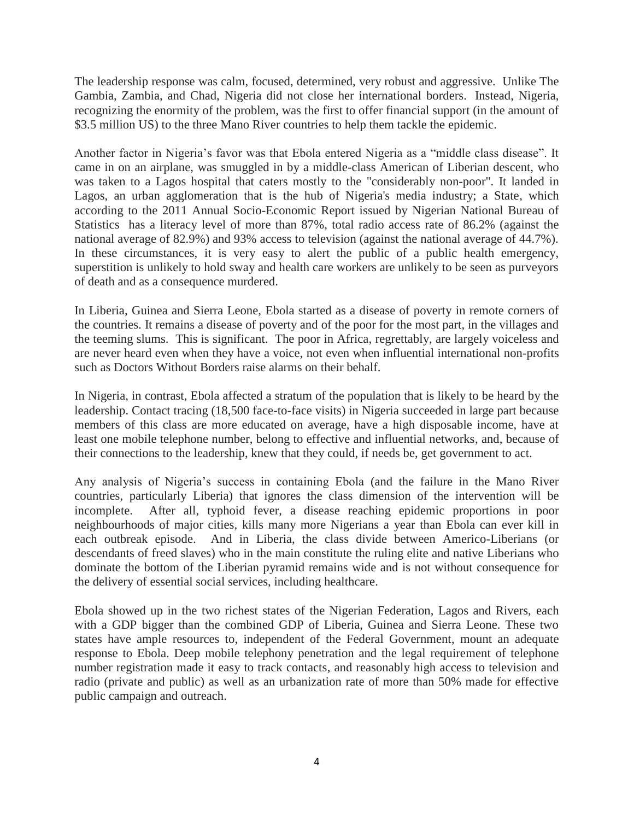The leadership response was calm, focused, determined, very robust and aggressive. Unlike The Gambia, Zambia, and Chad, Nigeria did not close her international borders. Instead, Nigeria, recognizing the enormity of the problem, was the first to offer financial support (in the amount of \$3.5 million US) to the three Mano River countries to help them tackle the epidemic.

Another factor in Nigeria's favor was that Ebola entered Nigeria as a "middle class disease". It came in on an airplane, was smuggled in by a middle-class American of Liberian descent, who was taken to a Lagos hospital that caters mostly to the "considerably non-poor". It landed in Lagos, an urban agglomeration that is the hub of Nigeria's media industry; a State, which according to the 2011 Annual Socio-Economic Report issued by Nigerian National Bureau of Statistics has a literacy level of more than 87%, total radio access rate of 86.2% (against the national average of 82.9%) and 93% access to television (against the national average of 44.7%). In these circumstances, it is very easy to alert the public of a public health emergency, superstition is unlikely to hold sway and health care workers are unlikely to be seen as purveyors of death and as a consequence murdered.

In Liberia, Guinea and Sierra Leone, Ebola started as a disease of poverty in remote corners of the countries. It remains a disease of poverty and of the poor for the most part, in the villages and the teeming slums. This is significant. The poor in Africa, regrettably, are largely voiceless and are never heard even when they have a voice, not even when influential international non-profits such as Doctors Without Borders raise alarms on their behalf.

In Nigeria, in contrast, Ebola affected a stratum of the population that is likely to be heard by the leadership. Contact tracing (18,500 face-to-face visits) in Nigeria succeeded in large part because members of this class are more educated on average, have a high disposable income, have at least one mobile telephone number, belong to effective and influential networks, and, because of their connections to the leadership, knew that they could, if needs be, get government to act.

Any analysis of Nigeria's success in containing Ebola (and the failure in the Mano River countries, particularly Liberia) that ignores the class dimension of the intervention will be incomplete. After all, typhoid fever, a disease reaching epidemic proportions in poor neighbourhoods of major cities, kills many more Nigerians a year than Ebola can ever kill in each outbreak episode. And in Liberia, the class divide between Americo-Liberians (or descendants of freed slaves) who in the main constitute the ruling elite and native Liberians who dominate the bottom of the Liberian pyramid remains wide and is not without consequence for the delivery of essential social services, including healthcare.

Ebola showed up in the two richest states of the Nigerian Federation, Lagos and Rivers, each with a GDP bigger than the combined GDP of Liberia, Guinea and Sierra Leone. These two states have ample resources to, independent of the Federal Government, mount an adequate response to Ebola. Deep mobile telephony penetration and the legal requirement of telephone number registration made it easy to track contacts, and reasonably high access to television and radio (private and public) as well as an urbanization rate of more than 50% made for effective public campaign and outreach.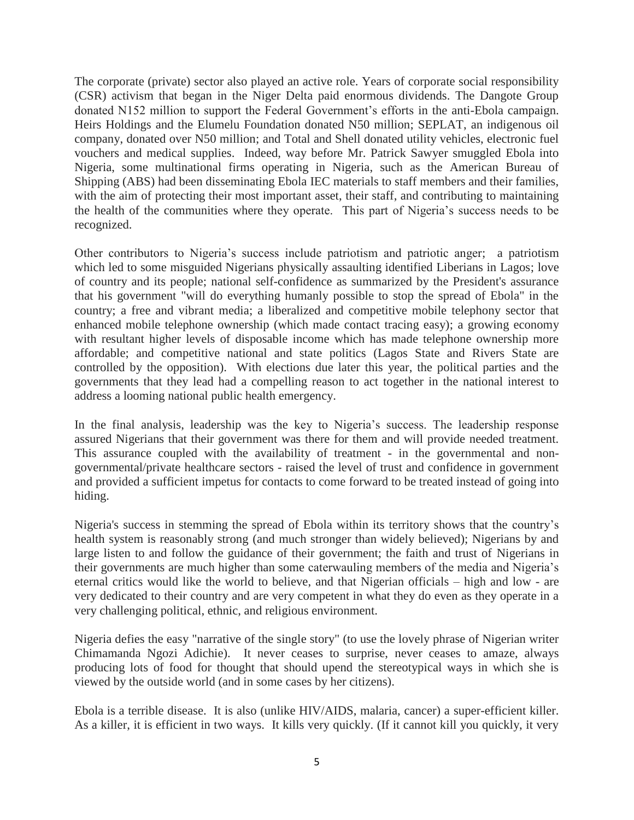The corporate (private) sector also played an active role. Years of corporate social responsibility (CSR) activism that began in the Niger Delta paid enormous dividends. The Dangote Group donated N152 million to support the Federal Government's efforts in the anti-Ebola campaign. Heirs Holdings and the Elumelu Foundation donated N50 million; SEPLAT, an indigenous oil company, donated over N50 million; and Total and Shell donated utility vehicles, electronic fuel vouchers and medical supplies. Indeed, way before Mr. Patrick Sawyer smuggled Ebola into Nigeria, some multinational firms operating in Nigeria, such as the American Bureau of Shipping (ABS) had been disseminating Ebola IEC materials to staff members and their families, with the aim of protecting their most important asset, their staff, and contributing to maintaining the health of the communities where they operate. This part of Nigeria's success needs to be recognized.

Other contributors to Nigeria's success include patriotism and patriotic anger; a patriotism which led to some misguided Nigerians physically assaulting identified Liberians in Lagos; love of country and its people; national self-confidence as summarized by the President's assurance that his government "will do everything humanly possible to stop the spread of Ebola" in the country; a free and vibrant media; a liberalized and competitive mobile telephony sector that enhanced mobile telephone ownership (which made contact tracing easy); a growing economy with resultant higher levels of disposable income which has made telephone ownership more affordable; and competitive national and state politics (Lagos State and Rivers State are controlled by the opposition). With elections due later this year, the political parties and the governments that they lead had a compelling reason to act together in the national interest to address a looming national public health emergency.

In the final analysis, leadership was the key to Nigeria's success. The leadership response assured Nigerians that their government was there for them and will provide needed treatment. This assurance coupled with the availability of treatment - in the governmental and nongovernmental/private healthcare sectors - raised the level of trust and confidence in government and provided a sufficient impetus for contacts to come forward to be treated instead of going into hiding.

Nigeria's success in stemming the spread of Ebola within its territory shows that the country's health system is reasonably strong (and much stronger than widely believed); Nigerians by and large listen to and follow the guidance of their government; the faith and trust of Nigerians in their governments are much higher than some caterwauling members of the media and Nigeria's eternal critics would like the world to believe, and that Nigerian officials – high and low - are very dedicated to their country and are very competent in what they do even as they operate in a very challenging political, ethnic, and religious environment.

Nigeria defies the easy "narrative of the single story" (to use the lovely phrase of Nigerian writer Chimamanda Ngozi Adichie). It never ceases to surprise, never ceases to amaze, always producing lots of food for thought that should upend the stereotypical ways in which she is viewed by the outside world (and in some cases by her citizens).

Ebola is a terrible disease. It is also (unlike HIV/AIDS, malaria, cancer) a super-efficient killer. As a killer, it is efficient in two ways. It kills very quickly. (If it cannot kill you quickly, it very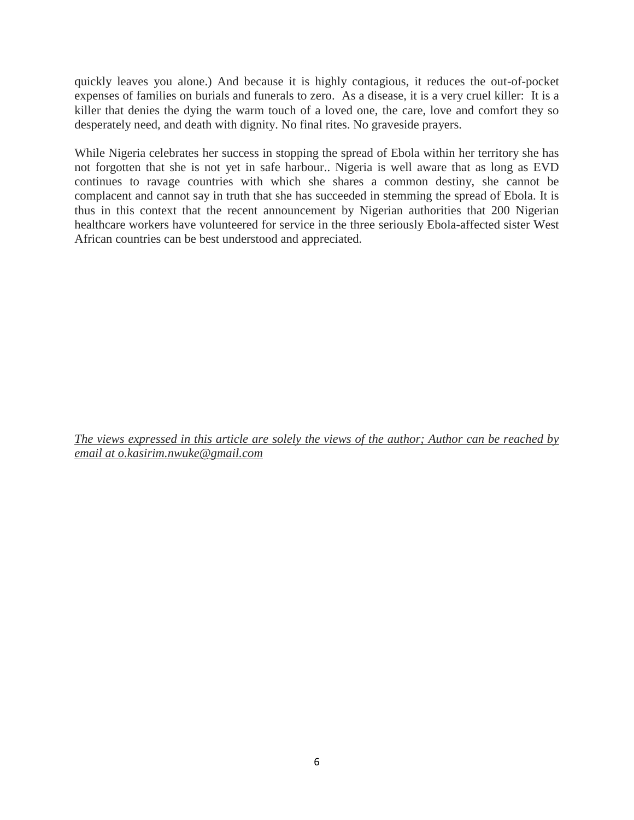quickly leaves you alone.) And because it is highly contagious, it reduces the out-of-pocket expenses of families on burials and funerals to zero. As a disease, it is a very cruel killer: It is a killer that denies the dying the warm touch of a loved one, the care, love and comfort they so desperately need, and death with dignity. No final rites. No graveside prayers.

While Nigeria celebrates her success in stopping the spread of Ebola within her territory she has not forgotten that she is not yet in safe harbour.. Nigeria is well aware that as long as EVD continues to ravage countries with which she shares a common destiny, she cannot be complacent and cannot say in truth that she has succeeded in stemming the spread of Ebola. It is thus in this context that the recent announcement by Nigerian authorities that 200 Nigerian healthcare workers have volunteered for service in the three seriously Ebola-affected sister West African countries can be best understood and appreciated.

*The views expressed in this article are solely the views of the author; Author can be reached by email at o.kasirim.nwuke@gmail.com*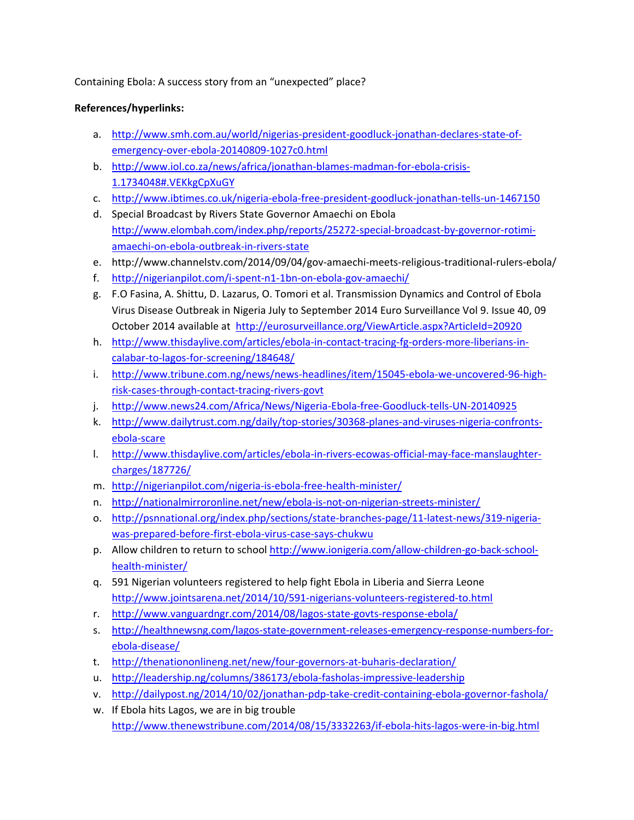Containing Ebola: A success story from an "unexpected" place?

## **References/hyperlinks:**

- a. http://www.smh.com.au/world/nigerias‐president‐goodluck‐jonathan‐declares‐state‐of‐ emergency‐over‐ebola‐20140809‐1027c0.html
- b. http://www.iol.co.za/news/africa/jonathan‐blames‐madman‐for‐ebola‐crisis‐ 1.1734048#.VEKkgCpXuGY
- c. http://www.ibtimes.co.uk/nigeria‐ebola‐free‐president‐goodluck‐jonathan‐tells‐un‐1467150
- d. Special Broadcast by Rivers State Governor Amaechi on Ebola http://www.elombah.com/index.php/reports/25272‐special‐broadcast‐by‐governor‐rotimi‐ amaechi‐on‐ebola‐outbreak‐in‐rivers‐state
- e. http://www.channelstv.com/2014/09/04/gov-amaechi-meets-religious-traditional-rulers-ebola/
- f. http://nigerianpilot.com/i‐spent‐n1‐1bn‐on‐ebola‐gov‐amaechi/
- g. F.O Fasina, A. Shittu, D. Lazarus, O. Tomori et al. Transmission Dynamics and Control of Ebola Virus Disease Outbreak in Nigeria July to September 2014 Euro Surveillance Vol 9. Issue 40, 09 October 2014 available at http://eurosurveillance.org/ViewArticle.aspx?ArticleId=20920
- h. http://www.thisdaylive.com/articles/ebola-in-contact-tracing-fg-orders-more-liberians-incalabar-to-lagos-for-screening/184648/
- i. http://www.tribune.com.ng/news/news-headlines/item/15045-ebola-we-uncovered-96-highrisk‐cases‐through‐contact‐tracing‐rivers‐govt
- j. http://www.news24.com/Africa/News/Nigeria‐Ebola‐free‐Goodluck‐tells‐UN‐20140925
- k. http://www.dailytrust.com.ng/daily/top-stories/30368-planes-and-viruses-nigeria-confrontsebola‐scare
- l. http://www.thisdaylive.com/articles/ebola-in-rivers-ecowas-official-may-face-manslaughtercharges/187726/
- m. http://nigerianpilot.com/nigeria‐is‐ebola‐free‐health‐minister/
- n. http://nationalmirroronline.net/new/ebola‐is‐not‐on‐nigerian‐streets‐minister/
- o. http://psnnational.org/index.php/sections/state-branches-page/11-latest-news/319-nigeriawas‐prepared‐before‐first‐ebola‐virus‐case‐says‐chukwu
- p. Allow children to return to school http://www.ionigeria.com/allow‐children‐go‐back‐school‐ health‐minister/
- q. 591 Nigerian volunteers registered to help fight Ebola in Liberia and Sierra Leone http://www.jointsarena.net/2014/10/591-nigerians-volunteers-registered-to.html
- r. http://www.vanguardngr.com/2014/08/lagos‐state‐govts‐response‐ebola/
- s. http://healthnewsng.com/lagos-state-government-releases-emergency-response-numbers-forebola‐disease/
- t. http://thenationonlineng.net/new/four‐governors‐at‐buharis‐declaration/
- u. http://leadership.ng/columns/386173/ebola-fasholas-impressive-leadership
- v. http://dailypost.ng/2014/10/02/jonathan‐pdp‐take‐credit‐containing‐ebola‐governor‐fashola/
- w. If Ebola hits Lagos, we are in big trouble http://www.thenewstribune.com/2014/08/15/3332263/if‐ebola‐hits‐lagos‐were‐in‐big.html